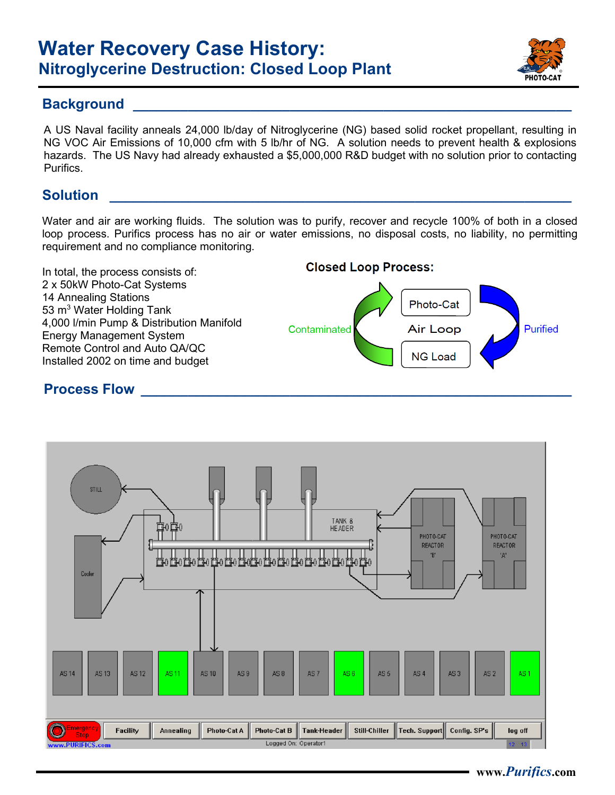# **Water Recovery Case History: Nitroglycerine Destruction: Closed Loop Plant**



#### **Background**

A US Naval facility anneals 24,000 lb/day of Nitroglycerine (NG) based solid rocket propellant, resulting in NG VOC Air Emissions of 10,000 cfm with 5 lb/hr of NG. A solution needs to prevent health & explosions hazards. The US Navy had already exhausted a \$5,000,000 R&D budget with no solution prior to contacting **Purifics** 

## **Solution \_\_\_\_\_\_\_\_\_\_\_\_\_\_\_\_\_\_\_\_\_\_\_\_\_\_\_\_\_\_\_\_\_\_\_\_\_\_\_\_\_\_\_\_\_\_\_\_\_\_\_\_\_\_\_\_\_\_\_**

Water and air are working fluids. The solution was to purify, recover and recycle 100% of both in a closed loop process. Purifics process has no air or water emissions, no disposal costs, no liability, no permitting requirement and no compliance monitoring.



### **Process Flow**